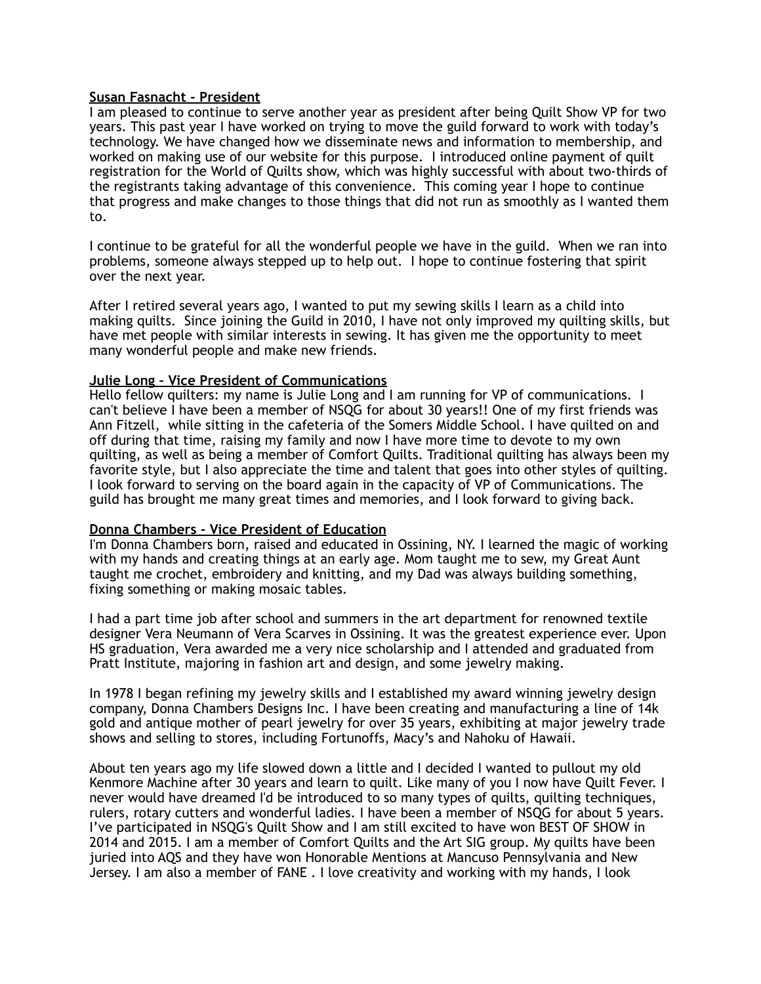## **Susan Fasnacht - President**

I am pleased to continue to serve another year as president after being Quilt Show VP for two years. This past year I have worked on trying to move the guild forward to work with today's technology. We have changed how we disseminate news and information to membership, and worked on making use of our website for this purpose. I introduced online payment of quilt registration for the World of Quilts show, which was highly successful with about two-thirds of the registrants taking advantage of this convenience. This coming year I hope to continue that progress and make changes to those things that did not run as smoothly as I wanted them to.

I continue to be grateful for all the wonderful people we have in the guild. When we ran into problems, someone always stepped up to help out. I hope to continue fostering that spirit over the next year.

After I retired several years ago, I wanted to put my sewing skills I learn as a child into making quilts. Since joining the Guild in 2010, I have not only improved my quilting skills, but have met people with similar interests in sewing. It has given me the opportunity to meet many wonderful people and make new friends.

#### **Julie Long – Vice President of Communications**

Hello fellow quilters: my name is Julie Long and I am running for VP of communications. I can't believe I have been a member of NSQG for about 30 years!! One of my first friends was Ann Fitzell, while sitting in the cafeteria of the Somers Middle School. I have quilted on and off during that time, raising my family and now I have more time to devote to my own quilting, as well as being a member of Comfort Quilts. Traditional quilting has always been my favorite style, but I also appreciate the time and talent that goes into other styles of quilting. I look forward to serving on the board again in the capacity of VP of Communications. The guild has brought me many great times and memories, and I look forward to giving back.

#### **Donna Chambers - Vice President of Education**

I'm Donna Chambers born, raised and educated in Ossining, NY. I learned the magic of working with my hands and creating things at an early age. Mom taught me to sew, my Great Aunt taught me crochet, embroidery and knitting, and my Dad was always building something, fixing something or making mosaic tables.

I had a part time job after school and summers in the art department for renowned textile designer Vera Neumann of Vera Scarves in Ossining. It was the greatest experience ever. Upon HS graduation, Vera awarded me a very nice scholarship and I attended and graduated from Pratt Institute, majoring in fashion art and design, and some jewelry making.

In 1978 I began refining my jewelry skills and I established my award winning jewelry design company, Donna Chambers Designs Inc. I have been creating and manufacturing a line of 14k gold and antique mother of pearl jewelry for over 35 years, exhibiting at major jewelry trade shows and selling to stores, including Fortunoffs, Macy's and Nahoku of Hawaii.

About ten years ago my life slowed down a little and I decided I wanted to pullout my old Kenmore Machine after 30 years and learn to quilt. Like many of you I now have Quilt Fever. I never would have dreamed I'd be introduced to so many types of quilts, quilting techniques, rulers, rotary cutters and wonderful ladies. I have been a member of NSQG for about 5 years. I've participated in NSQG's Quilt Show and I am still excited to have won BEST OF SHOW in 2014 and 2015. I am a member of Comfort Quilts and the Art SIG group. My quilts have been juried into AQS and they have won Honorable Mentions at Mancuso Pennsylvania and New Jersey. I am also a member of FANE . I love creativity and working with my hands, I look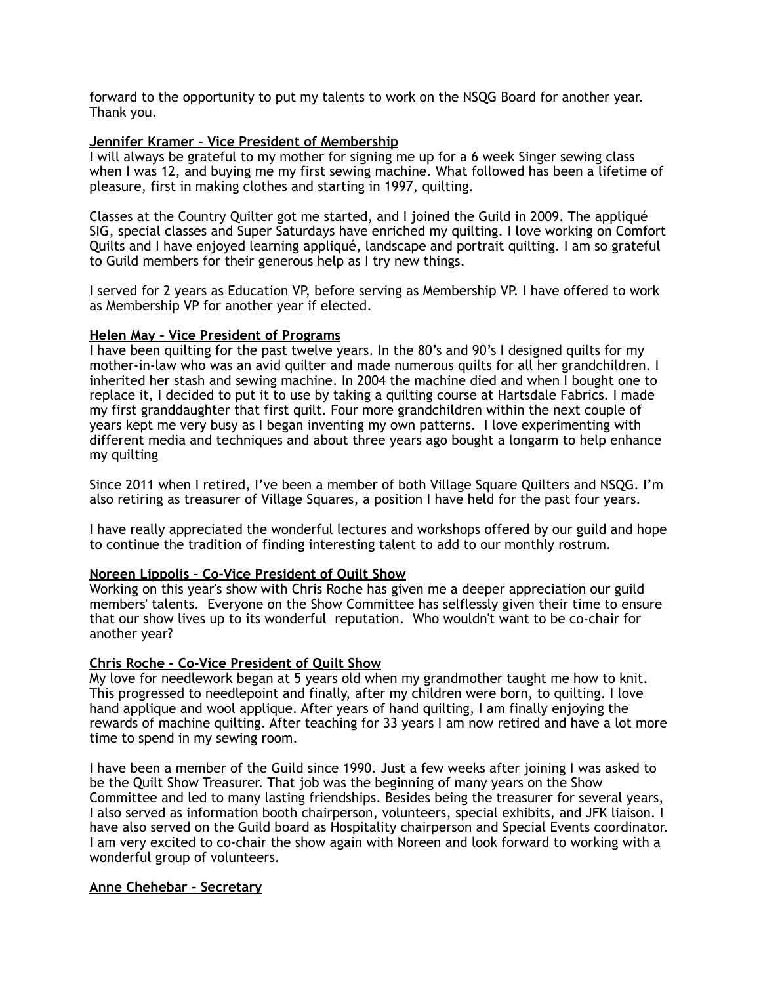forward to the opportunity to put my talents to work on the NSQG Board for another year. Thank you.

# **Jennifer Kramer – Vice President of Membership**

I will always be grateful to my mother for signing me up for a 6 week Singer sewing class when I was 12, and buying me my first sewing machine. What followed has been a lifetime of pleasure, first in making clothes and starting in 1997, quilting.

Classes at the Country Quilter got me started, and I joined the Guild in 2009. The appliqué SIG, special classes and Super Saturdays have enriched my quilting. I love working on Comfort Quilts and I have enjoyed learning appliqué, landscape and portrait quilting. I am so grateful to Guild members for their generous help as I try new things.

I served for 2 years as Education VP, before serving as Membership VP. I have offered to work as Membership VP for another year if elected.

## **Helen May – Vice President of Programs**

I have been quilting for the past twelve years. In the 80's and 90's I designed quilts for my mother-in-law who was an avid quilter and made numerous quilts for all her grandchildren. I inherited her stash and sewing machine. In 2004 the machine died and when I bought one to replace it, I decided to put it to use by taking a quilting course at Hartsdale Fabrics. I made my first granddaughter that first quilt. Four more grandchildren within the next couple of years kept me very busy as I began inventing my own patterns. I love experimenting with different media and techniques and about three years ago bought a longarm to help enhance my quilting

Since 2011 when I retired, I've been a member of both Village Square Quilters and NSQG. I'm also retiring as treasurer of Village Squares, a position I have held for the past four years.

I have really appreciated the wonderful lectures and workshops offered by our guild and hope to continue the tradition of finding interesting talent to add to our monthly rostrum.

## **Noreen Lippolis – Co-Vice President of Quilt Show**

Working on this year's show with Chris Roche has given me a deeper appreciation our guild members' talents. Everyone on the Show Committee has selflessly given their time to ensure that our show lives up to its wonderful reputation. Who wouldn't want to be co-chair for another year?

## **Chris Roche – Co-Vice President of Quilt Show**

My love for needlework began at 5 years old when my grandmother taught me how to knit. This progressed to needlepoint and finally, after my children were born, to quilting. I love hand applique and wool applique. After years of hand quilting, I am finally enjoying the rewards of machine quilting. After teaching for 33 years I am now retired and have a lot more time to spend in my sewing room.

I have been a member of the Guild since 1990. Just a few weeks after joining I was asked to be the Quilt Show Treasurer. That job was the beginning of many years on the Show Committee and led to many lasting friendships. Besides being the treasurer for several years, I also served as information booth chairperson, volunteers, special exhibits, and JFK liaison. I have also served on the Guild board as Hospitality chairperson and Special Events coordinator. I am very excited to co-chair the show again with Noreen and look forward to working with a wonderful group of volunteers.

#### **Anne Chehebar - Secretary**